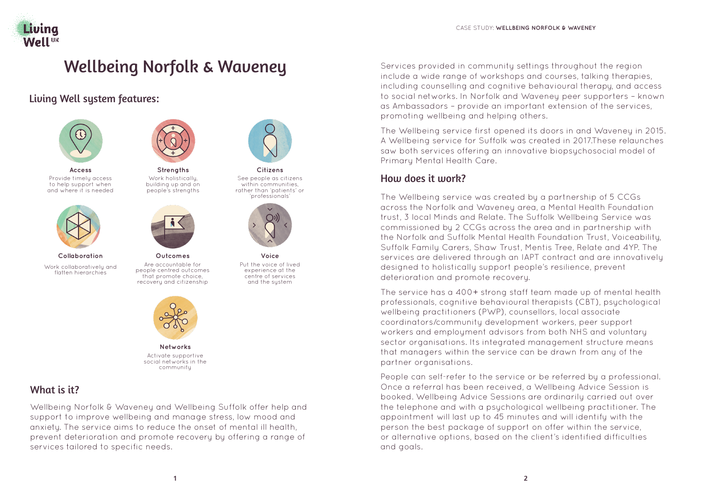

# Wellbeing Norfolk & Waveney

Living Well system features:



**Access** Provide timely access to help support when and where it is needed



**Collaboration** Work collaboratively and flatten hierarchies



**Strengths** Work holistically, building up and on people's strengths



**Outcomes** Are accountable for people centred outcomes that promote choice, recovery and citizenship



See people as citizens within communities rather than 'patients' or 'professionals'



**Voice** Put the voice of lived experience at the centre of services and the system



**Networks** Activate supportive social networks in the community

# What is it?

Wellbeing Norfolk & Waveney and Wellbeing Suffolk offer help and support to improve wellbeing and manage stress, low mood and anxiety. The service aims to reduce the onset of mental ill health, prevent deterioration and promote recovery by offering a range of services tailored to specific needs.

Services provided in community settings throughout the region include a wide range of workshops and courses, talking therapies, including counselling and cognitive behavioural therapy, and access to social networks. In Norfolk and Waveney peer supporters – known as Ambassadors – provide an important extension of the services, promoting wellbeing and helping others.

The Wellbeing service first opened its doors in and Waveney in 2015. A Wellbeing service for Suffolk was created in 2017.These relaunches saw both services offering an innovative biopsychosocial model of Primary Mental Health Care.

# How does it work?

The Wellbeing service was created by a partnership of 5 CCGs across the Norfolk and Waveney area, a Mental Health Foundation trust, 3 local Minds and Relate. The Suffolk Wellbeing Service was commissioned by 2 CCGs across the area and in partnership with the Norfolk and Suffolk Mental Health Foundation Trust, Voiceability, Suffolk Family Carers, Shaw Trust, Mentis Tree, Relate and 4YP. The services are delivered through an IAPT contract and are innovatively designed to holistically support people's resilience, prevent deterioration and promote recovery.

The service has a 400+ strong staff team made up of mental health professionals, cognitive behavioural therapists (CBT), psychological wellbeing practitioners (PWP), counsellors, local associate coordinators/community development workers, peer support workers and employment advisors from both NHS and voluntary sector organisations. Its integrated management structure means that managers within the service can be drawn from any of the partner organisations.

People can self-refer to the service or be referred by a professional. Once a referral has been received, a Wellbeing Advice Session is booked. Wellbeing Advice Sessions are ordinarily carried out over the telephone and with a psychological wellbeing practitioner. The appointment will last up to 45 minutes and will identify with the person the best package of support on offer within the service, or alternative options, based on the client's identified difficulties and goals.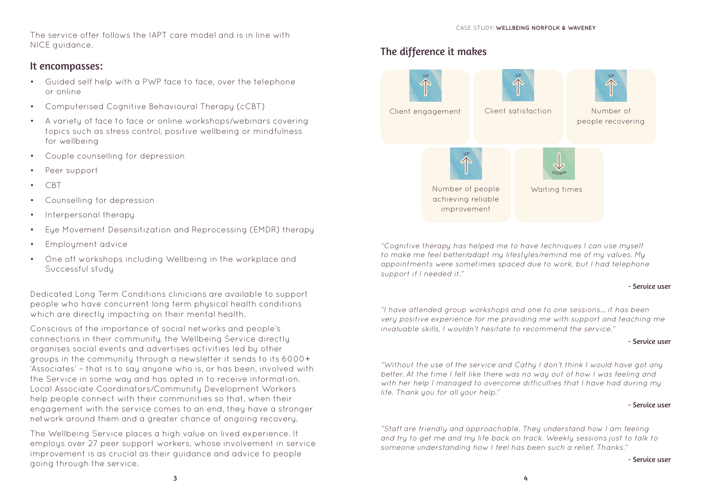CASE STUDY: **WELLBEING NORFOLK & WAVENEY**

The service offer follows the IAPT care model and is in line with NICE guidance.

### It encompasses:

- Guided self help with a PWP face to face, over the telephone or online
- Computerised Cognitive Behavioural Therapy (cCBT)
- A variety of face to face or online workshops/webinars covering topics such as stress control, positive wellbeing or mindfulness for wellbeing
- Couple counselling for depression
- Peer support
- CBT
- Counselling for depression
- Interpersonal therapy
- Eye Movement Desensitization and Reprocessing (EMDR) therapy
- Employment advice
- One off workshops including Wellbeing in the workplace and Successful study

Dedicated Long Term Conditions clinicians are available to support people who have concurrent long term physical health conditions which are directly impacting on their mental health.

Conscious of the importance of social networks and people's connections in their community, the Wellbeing Service directly organises social events and advertises activities led by other groups in the community through a newsletter it sends to its 6000+ 'Associates' – that is to say anyone who is, or has been, involved with the Service in some way and has opted in to receive information. Local Associate Coordinators/Community Development Workers help people connect with their communities so that, when their engagement with the service comes to an end, they have a stronger network around them and a greater chance of ongoing recovery.

The Wellbeing Service places a high value on lived experience. It employs over 27 peer support workers, whose involvement in service improvement is as crucial as their guidance and advice to people going through the service.



"Cognitive therapy has helped me to have techniques I can use myself to make me feel better/adapt mu lifestules/remind me of mu values. Mu appointments were sometimes spaced due to work, but I had telephone support if I needed it."

#### - Service user

"I have attended group workshops and one to one sessions... it has been very positive experience for me providing me with support and teaching me invaluable skills, I wouldn't hesitate to recommend the service."

#### - Service user

"Without the use of the service and Cathy I don't think I would have got any better. At the time I felt like there was no way out of how I was feeling and with her help I managed to overcome difficulties that I have had during my life. Thank you for all your help."

#### - Service user

"Staff are friendly and approachable. They understand how I am feeling and try to get me and my life back on track. Weekly sessions just to talk to someone understanding how I feel has been such a relief. Thanks."

#### - Service user